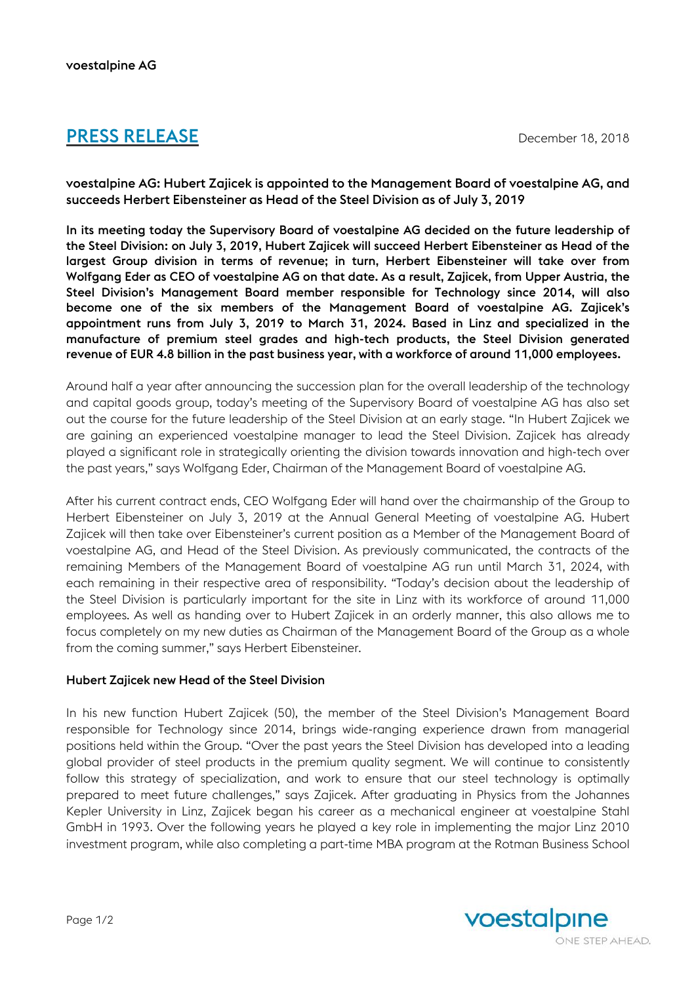# **PRESS RELEASE** December 18, 2018

voestalpine AG: Hubert Zajicek is appointed to the Management Board of voestalpine AG, and succeeds Herbert Eibensteiner as Head of the Steel Division as of July 3, 2019

In its meeting today the Supervisory Board of voestalpine AG decided on the future leadership of the Steel Division: on July 3, 2019, Hubert Zajicek will succeed Herbert Eibensteiner as Head of the largest Group division in terms of revenue; in turn, Herbert Eibensteiner will take over from Wolfgang Eder as CEO of voestalpine AG on that date. As a result, Zajicek, from Upper Austria, the Steel Division's Management Board member responsible for Technology since 2014, will also become one of the six members of the Management Board of voestalpine AG. Zajicek's appointment runs from July 3, 2019 to March 31, 2024. Based in Linz and specialized in the manufacture of premium steel grades and high-tech products, the Steel Division generated revenue of EUR 4.8 billion in the past business year, with a workforce of around 11,000 employees.

Around half a year after announcing the succession plan for the overall leadership of the technology and capital goods group, today's meeting of the Supervisory Board of voestalpine AG has also set out the course for the future leadership of the Steel Division at an early stage. "In Hubert Zajicek we are gaining an experienced voestalpine manager to lead the Steel Division. Zajicek has already played a significant role in strategically orienting the division towards innovation and high-tech over the past years," says Wolfgang Eder, Chairman of the Management Board of voestalpine AG.

After his current contract ends, CEO Wolfgang Eder will hand over the chairmanship of the Group to Herbert Eibensteiner on July 3, 2019 at the Annual General Meeting of voestalpine AG. Hubert Zajicek will then take over Eibensteiner's current position as a Member of the Management Board of voestalpine AG, and Head of the Steel Division. As previously communicated, the contracts of the remaining Members of the Management Board of voestalpine AG run until March 31, 2024, with each remaining in their respective area of responsibility. "Today's decision about the leadership of the Steel Division is particularly important for the site in Linz with its workforce of around 11,000 employees. As well as handing over to Hubert Zajicek in an orderly manner, this also allows me to focus completely on my new duties as Chairman of the Management Board of the Group as a whole from the coming summer," says Herbert Eibensteiner.

#### Hubert Zajicek new Head of the Steel Division

In his new function Hubert Zajicek (50), the member of the Steel Division's Management Board responsible for Technology since 2014, brings wide-ranging experience drawn from managerial positions held within the Group. "Over the past years the Steel Division has developed into a leading global provider of steel products in the premium quality segment. We will continue to consistently follow this strategy of specialization, and work to ensure that our steel technology is optimally prepared to meet future challenges," says Zajicek. After graduating in Physics from the Johannes Kepler University in Linz, Zajicek began his career as a mechanical engineer at voestalpine Stahl GmbH in 1993. Over the following years he played a key role in implementing the major Linz 2010 investment program, while also completing a part-time MBA program at the Rotman Business School